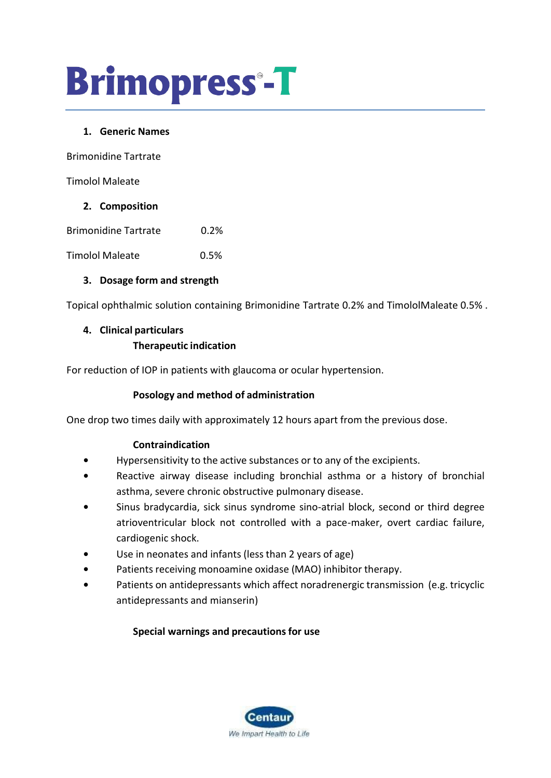# **Brimopress-T**

#### **1. Generic Names**

Brimonidine Tartrate

Timolol Maleate

#### **2. Composition**

Brimonidine Tartrate 0.2%

Timolol Maleate 0.5%

# **3. Dosage form and strength**

Topical ophthalmic solution containing Brimonidine Tartrate 0.2% and TimololMaleate 0.5% .

#### **4. Clinical particulars**

# **Therapeutic indication**

For reduction of IOP in patients with glaucoma or ocular hypertension.

# **Posology and method of administration**

One drop two times daily with approximately 12 hours apart from the previous dose.

# **Contraindication**

- **•** Hypersensitivity to the active substances or to any of the excipients.
- **•** Reactive airway disease including bronchial asthma or a history of bronchial asthma, severe chronic obstructive pulmonary disease.
- **•** Sinus bradycardia, sick sinus syndrome sino-atrial block, second or third degree atrioventricular block not controlled with a pace-maker, overt cardiac failure, cardiogenic shock.
- **•** Use in neonates and infants (less than 2 years of age)
- **•** Patients receiving monoamine oxidase (MAO) inhibitor therapy.
- **•** Patients on antidepressants which affect noradrenergic transmission (e.g. tricyclic antidepressants and mianserin)

# **Special warnings and precautionsfor use**

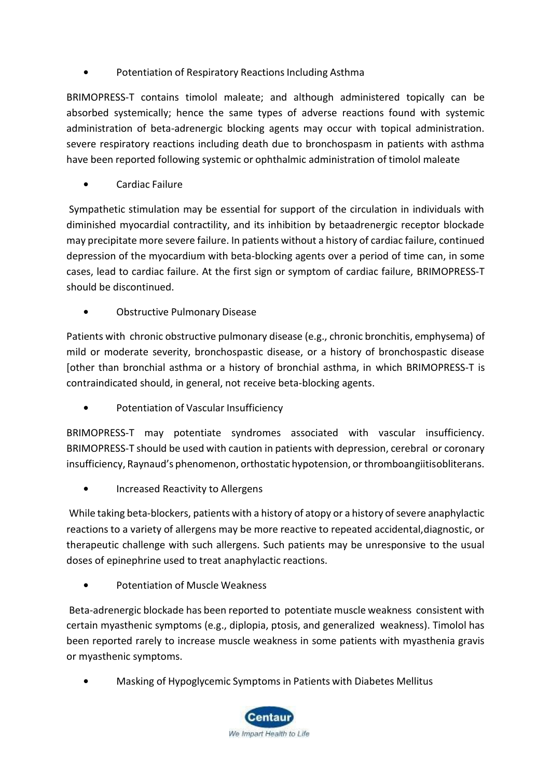Potentiation of Respiratory Reactions Including Asthma

BRIMOPRESS-T contains timolol maleate; and although administered topically can be absorbed systemically; hence the same types of adverse reactions found with systemic administration of beta-adrenergic blocking agents may occur with topical administration. severe respiratory reactions including death due to bronchospasm in patients with asthma have been reported following systemic or ophthalmic administration of timolol maleate

**•** Cardiac Failure

Sympathetic stimulation may be essential for support of the circulation in individuals with diminished myocardial contractility, and its inhibition by betaadrenergic receptor blockade may precipitate more severe failure. In patients without a history of cardiac failure, continued depression of the myocardium with beta-blocking agents over a period of time can, in some cases, lead to cardiac failure. At the first sign or symptom of cardiac failure, BRIMOPRESS-T should be discontinued.

**•** Obstructive Pulmonary Disease

Patients with chronic obstructive pulmonary disease (e.g., chronic bronchitis, emphysema) of mild or moderate severity, bronchospastic disease, or a history of bronchospastic disease [other than bronchial asthma or a history of bronchial asthma, in which BRIMOPRESS-T is contraindicated should, in general, not receive beta-blocking agents.

**•** Potentiation of Vascular Insufficiency

BRIMOPRESS-T may potentiate syndromes associated with vascular insufficiency. BRIMOPRESS-T should be used with caution in patients with depression, cerebral or coronary insufficiency, Raynaud's phenomenon, orthostatic hypotension, or thromboangiitisobliterans.

**•** Increased Reactivity to Allergens

While taking beta-blockers, patients with a history of atopy or a history of severe anaphylactic reactions to a variety of allergens may be more reactive to repeated accidental,diagnostic, or therapeutic challenge with such allergens. Such patients may be unresponsive to the usual doses of epinephrine used to treat anaphylactic reactions.

**•** Potentiation of Muscle Weakness

Beta-adrenergic blockade has been reported to potentiate muscle weakness consistent with certain myasthenic symptoms (e.g., diplopia, ptosis, and generalized weakness). Timolol has been reported rarely to increase muscle weakness in some patients with myasthenia gravis or myasthenic symptoms.

**•** Masking of Hypoglycemic Symptoms in Patients with Diabetes Mellitus

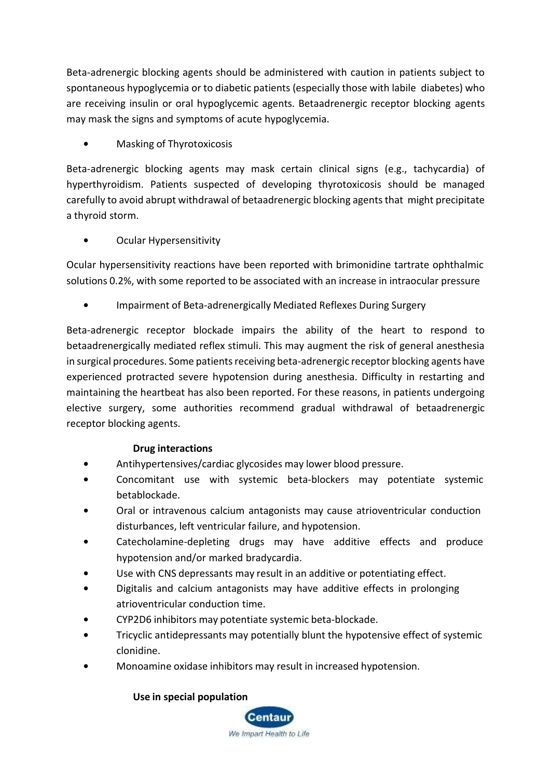Beta-adrenergic blocking agents should be administered with caution in patients subject to spontaneous hypoglycemia or to diabetic patients (especially those with labile diabetes) who are receiving insulin or oral hypoglycemic agents. Betaadrenergic receptor blocking agents may mask the signs and symptoms of acute hypoglycemia.

**•** Masking of Thyrotoxicosis

Beta-adrenergic blocking agents may mask certain clinical signs (e.g., tachycardia) of hyperthyroidism. Patients suspected of developing thyrotoxicosis should be managed carefully to avoid abrupt withdrawal of betaadrenergic blocking agentsthat might precipitate a thyroid storm.

**•** Ocular Hypersensitivity

Ocular hypersensitivity reactions have been reported with brimonidine tartrate ophthalmic solutions 0.2%, with some reported to be associated with an increase in intraocular pressure

**•** Impairment of Beta-adrenergically Mediated Reflexes During Surgery

Beta-adrenergic receptor blockade impairs the ability of the heart to respond to betaadrenergically mediated reflex stimuli. This may augment the risk of general anesthesia in surgical procedures. Some patients receiving beta-adrenergic receptor blocking agents have experienced protracted severe hypotension during anesthesia. Difficulty in restarting and maintaining the heartbeat has also been reported. For these reasons, in patients undergoing elective surgery, some authorities recommend gradual withdrawal of betaadrenergic receptor blocking agents.

# **Drug interactions**

- **•** Antihypertensives/cardiac glycosides may lower blood pressure.
- **•** Concomitant use with systemic beta-blockers may potentiate systemic betablockade.
- **•** Oral or intravenous calcium antagonists may cause atrioventricular conduction disturbances, left ventricular failure, and hypotension.
- **•** Catecholamine-depleting drugs may have additive effects and produce hypotension and/or marked bradycardia.
- **•** Use with CNS depressants may result in an additive or potentiating effect.
- **•** Digitalis and calcium antagonists may have additive effects in prolonging atrioventricular conduction time.
- **•** CYP2D6 inhibitors may potentiate systemic beta-blockade.
- **•** Tricyclic antidepressants may potentially blunt the hypotensive effect of systemic clonidine.
- **•** Monoamine oxidase inhibitors may result in increased hypotension.

# **Use in special population**

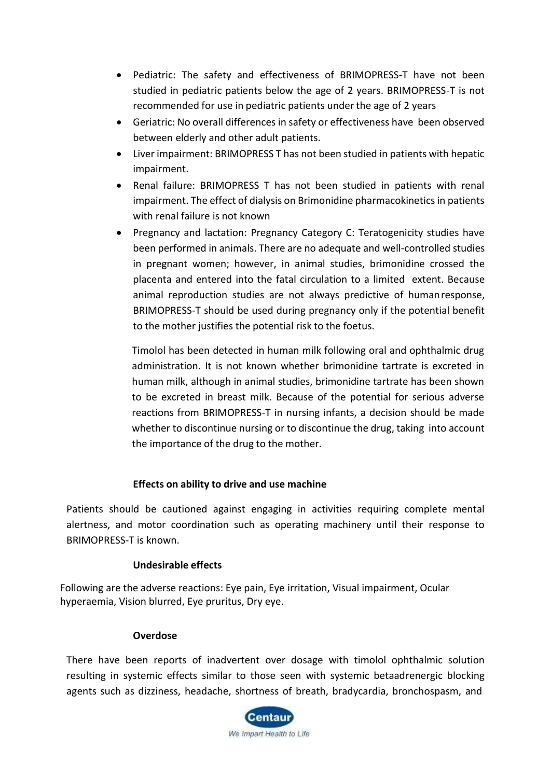- Pediatric: The safety and effectiveness of BRIMOPRESS-T have not been studied in pediatric patients below the age of 2 years. BRIMOPRESS-T is not recommended for use in pediatric patients under the age of 2 years
- Geriatric: No overall differences in safety or effectiveness have been observed between elderly and other adult patients.
- Liver impairment: BRIMOPRESS T has not been studied in patients with hepatic impairment.
- Renal failure: BRIMOPRESS T has not been studied in patients with renal impairment. The effect of dialysis on Brimonidine pharmacokinetics in patients with renal failure is not known
- Pregnancy and lactation: Pregnancy Category C: Teratogenicity studies have been performed in animals. There are no adequate and well-controlled studies in pregnant women; however, in animal studies, brimonidine crossed the placenta and entered into the fatal circulation to a limited extent. Because animal reproduction studies are not always predictive of humanresponse, BRIMOPRESS-T should be used during pregnancy only if the potential benefit to the mother justifies the potential risk to the foetus.

Timolol has been detected in human milk following oral and ophthalmic drug administration. It is not known whether brimonidine tartrate is excreted in human milk, although in animal studies, brimonidine tartrate has been shown to be excreted in breast milk. Because of the potential for serious adverse reactions from BRIMOPRESS-T in nursing infants, a decision should be made whether to discontinue nursing or to discontinue the drug, taking into account the importance of the drug to the mother.

# **Effects on ability to drive and use machine**

Patients should be cautioned against engaging in activities requiring complete mental alertness, and motor coordination such as operating machinery until their response to BRIMOPRESS-T is known.

# **Undesirable effects**

Following are the adverse reactions: Eye pain, Eye irritation, Visual impairment, Ocular hyperaemia, Vision blurred, Eye pruritus, Dry eye.

#### **Overdose**

There have been reports of inadvertent over dosage with timolol ophthalmic solution resulting in systemic effects similar to those seen with systemic betaadrenergic blocking agents such as dizziness, headache, shortness of breath, bradycardia, bronchospasm, and

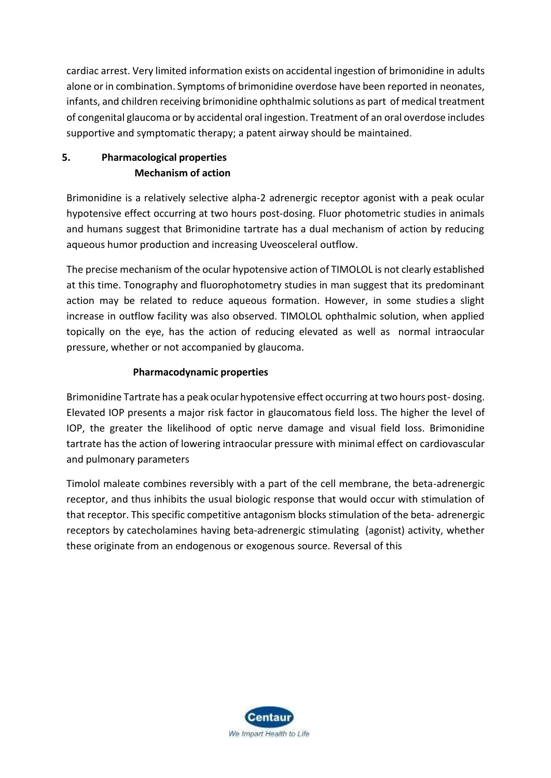cardiac arrest. Very limited information exists on accidental ingestion of brimonidine in adults alone or in combination. Symptoms of brimonidine overdose have been reported in neonates, infants, and children receiving brimonidine ophthalmic solutions as part of medical treatment of congenital glaucoma or by accidental oral ingestion. Treatment of an oral overdose includes supportive and symptomatic therapy; a patent airway should be maintained.

# **5. Pharmacological properties Mechanism of action**

Brimonidine is a relatively selective alpha-2 adrenergic receptor agonist with a peak ocular hypotensive effect occurring at two hours post-dosing. Fluor photometric studies in animals and humans suggest that Brimonidine tartrate has a dual mechanism of action by reducing aqueous humor production and increasing Uveosceleral outflow.

The precise mechanism of the ocular hypotensive action of TIMOLOL is not clearly established at this time. Tonography and fluorophotometry studies in man suggest that its predominant action may be related to reduce aqueous formation. However, in some studies a slight increase in outflow facility was also observed. TIMOLOL ophthalmic solution, when applied topically on the eye, has the action of reducing elevated as well as normal intraocular pressure, whether or not accompanied by glaucoma.

# **Pharmacodynamic properties**

Brimonidine Tartrate has a peak ocular hypotensive effect occurring at two hours post- dosing. Elevated IOP presents a major risk factor in glaucomatous field loss. The higher the level of IOP, the greater the likelihood of optic nerve damage and visual field loss. Brimonidine tartrate has the action of lowering intraocular pressure with minimal effect on cardiovascular and pulmonary parameters

Timolol maleate combines reversibly with a part of the cell membrane, the beta-adrenergic receptor, and thus inhibits the usual biologic response that would occur with stimulation of that receptor. This specific competitive antagonism blocks stimulation of the beta- adrenergic receptors by catecholamines having beta-adrenergic stimulating (agonist) activity, whether these originate from an endogenous or exogenous source. Reversal of this

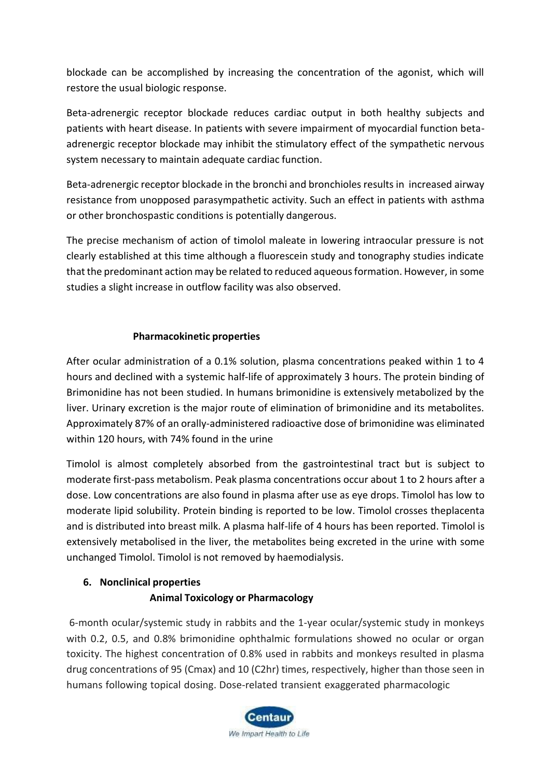blockade can be accomplished by increasing the concentration of the agonist, which will restore the usual biologic response.

Beta-adrenergic receptor blockade reduces cardiac output in both healthy subjects and patients with heart disease. In patients with severe impairment of myocardial function betaadrenergic receptor blockade may inhibit the stimulatory effect of the sympathetic nervous system necessary to maintain adequate cardiac function.

Beta-adrenergic receptor blockade in the bronchi and bronchioles results in increased airway resistance from unopposed parasympathetic activity. Such an effect in patients with asthma or other bronchospastic conditions is potentially dangerous.

The precise mechanism of action of timolol maleate in lowering intraocular pressure is not clearly established at this time although a fluorescein study and tonography studies indicate that the predominant action may be related to reduced aqueous formation. However, in some studies a slight increase in outflow facility was also observed.

# **Pharmacokinetic properties**

After ocular administration of a 0.1% solution, plasma concentrations peaked within 1 to 4 hours and declined with a systemic half-life of approximately 3 hours. The protein binding of Brimonidine has not been studied. In humans brimonidine is extensively metabolized by the liver. Urinary excretion is the major route of elimination of brimonidine and its metabolites. Approximately 87% of an orally-administered radioactive dose of brimonidine was eliminated within 120 hours, with 74% found in the urine

Timolol is almost completely absorbed from the gastrointestinal tract but is subject to moderate first-pass metabolism. Peak plasma concentrations occur about 1 to 2 hours after a dose. Low concentrations are also found in plasma after use as eye drops. Timolol has low to moderate lipid solubility. Protein binding is reported to be low. Timolol crosses theplacenta and is distributed into breast milk. A plasma half-life of 4 hours has been reported. Timolol is extensively metabolised in the liver, the metabolites being excreted in the urine with some unchanged Timolol. Timolol is not removed by haemodialysis.

# **6. Nonclinical properties**

# **Animal Toxicology or Pharmacology**

6-month ocular/systemic study in rabbits and the 1-year ocular/systemic study in monkeys with 0.2, 0.5, and 0.8% brimonidine ophthalmic formulations showed no ocular or organ toxicity. The highest concentration of 0.8% used in rabbits and monkeys resulted in plasma drug concentrations of 95 (Cmax) and 10 (C2hr) times, respectively, higher than those seen in humans following topical dosing. Dose-related transient exaggerated pharmacologic

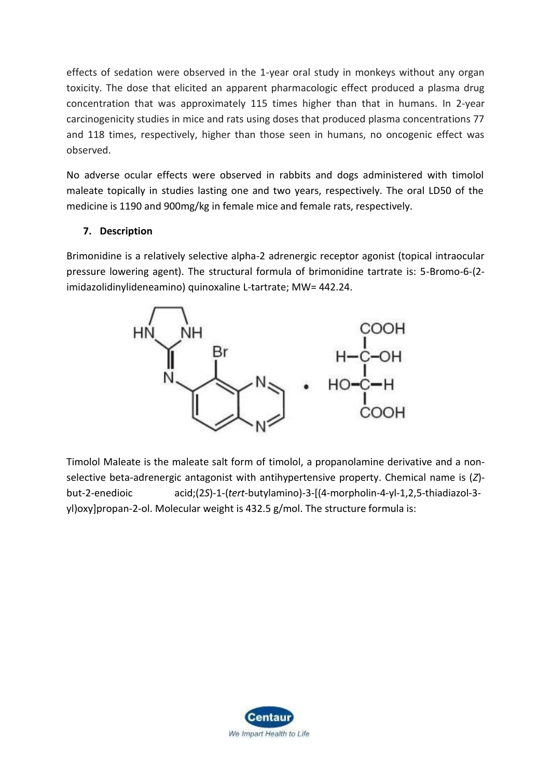effects of sedation were observed in the 1-year oral study in monkeys without any organ toxicity. The dose that elicited an apparent pharmacologic effect produced a plasma drug concentration that was approximately 115 times higher than that in humans. In 2-year carcinogenicity studies in mice and rats using doses that produced plasma concentrations 77 and 118 times, respectively, higher than those seen in humans, no oncogenic effect was observed.

No adverse ocular effects were observed in rabbits and dogs administered with timolol maleate topically in studies lasting one and two years, respectively. The oral LD50 of the medicine is 1190 and 900mg/kg in female mice and female rats, respectively.

# **7. Description**

Brimonidine is a relatively selective alpha-2 adrenergic receptor agonist (topical intraocular pressure lowering agent). The structural formula of brimonidine tartrate is: 5-Bromo-6-(2 imidazolidinylideneamino) quinoxaline L-tartrate; MW= 442.24.



Timolol Maleate is the maleate salt form of [timolol,](https://pubchem.ncbi.nlm.nih.gov/compound/timolol) a [propanolamine d](https://pubchem.ncbi.nlm.nih.gov/compound/propanolamine)erivative and a nonselective beta-adrenergic antagonist with antihypertensive property. Chemical name is (*Z*) but-2-enedioic acid;(2*S*)-1-(*tert*-butylamino)-3-[(4-morpholin-4-yl-1,2,5-thiadiazol-3 yl)oxy]propan-2-ol. Molecular weight is 432.5 g/mol. The structure formula is:

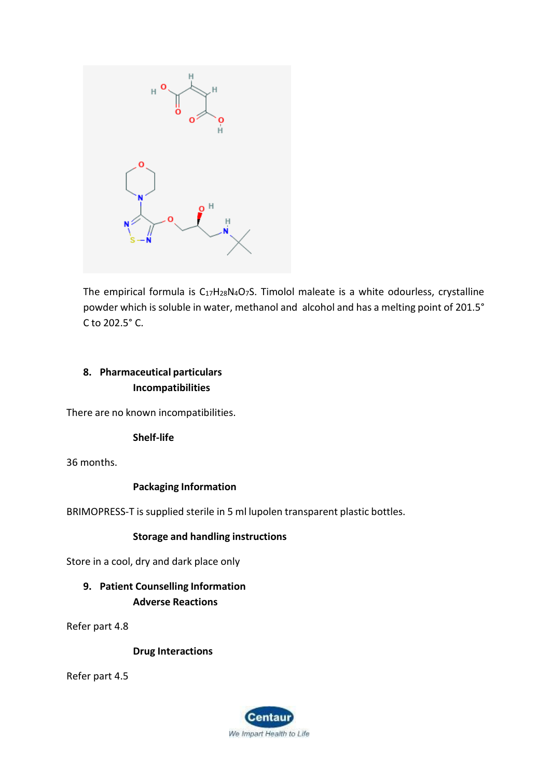

The empirical formula is  $C_{17}H_{28}N_4O_7S$ . Timolol maleate is a white odourless, crystalline powder which is soluble in water, methanol and alcohol and has a melting point of 201.5° C to 202.5° C.

# **8. Pharmaceutical particulars Incompatibilities**

There are no known incompatibilities.

# **Shelf-life**

36 months.

# **Packaging Information**

BRIMOPRESS-T is supplied sterile in 5 ml lupolen transparent plastic bottles.

# **Storage and handling instructions**

Store in a cool, dry and dark place only

# **9. Patient Counselling Information Adverse Reactions**

Refer part 4.8

# **Drug Interactions**

Refer part 4.5